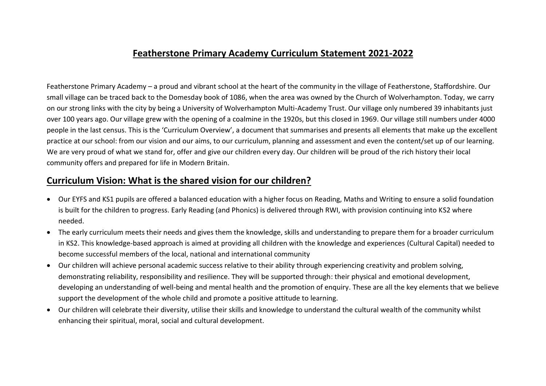# **Featherstone Primary Academy Curriculum Statement 2021-2022**

Featherstone Primary Academy – a proud and vibrant school at the heart of the community in the village of Featherstone, Staffordshire. Our small village can be traced back to the Domesday book of 1086, when the area was owned by the Church of Wolverhampton. Today, we carry on our strong links with the city by being a University of Wolverhampton Multi-Academy Trust. Our village only numbered 39 inhabitants just over 100 years ago. Our village grew with the opening of a coalmine in the 1920s, but this closed in 1969. Our village still numbers under 4000 people in the last census. This is the 'Curriculum Overview', a document that summarises and presents all elements that make up the excellent practice at our school: from our vision and our aims, to our curriculum, planning and assessment and even the content/set up of our learning. We are very proud of what we stand for, offer and give our children every day. Our children will be proud of the rich history their local community offers and prepared for life in Modern Britain.

# **Curriculum Vision: What is the shared vision for our children?**

- Our EYFS and KS1 pupils are offered a balanced education with a higher focus on Reading, Maths and Writing to ensure a solid foundation is built for the children to progress. Early Reading (and Phonics) is delivered through RWI, with provision continuing into KS2 where needed.
- The early curriculum meets their needs and gives them the knowledge, skills and understanding to prepare them for a broader curriculum in KS2. This knowledge-based approach is aimed at providing all children with the knowledge and experiences (Cultural Capital) needed to become successful members of the local, national and international community
- Our children will achieve personal academic success relative to their ability through experiencing creativity and problem solving, demonstrating reliability, responsibility and resilience. They will be supported through: their physical and emotional development, developing an understanding of well-being and mental health and the promotion of enquiry. These are all the key elements that we believe support the development of the whole child and promote a positive attitude to learning.
- Our children will celebrate their diversity, utilise their skills and knowledge to understand the cultural wealth of the community whilst enhancing their spiritual, moral, social and cultural development.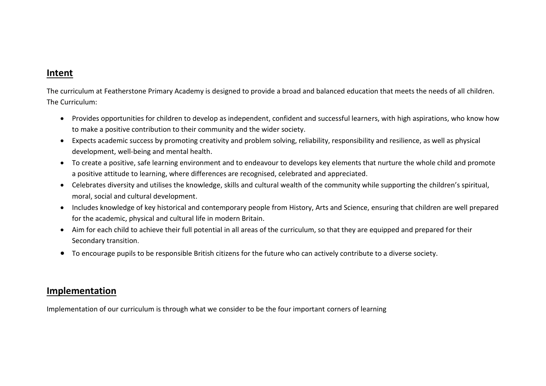## **Intent**

The curriculum at Featherstone Primary Academy is designed to provide a broad and balanced education that meets the needs of all children. The Curriculum:

- Provides opportunities for children to develop as independent, confident and successful learners, with high aspirations, who know how to make a positive contribution to their community and the wider society.
- Expects academic success by promoting creativity and problem solving, reliability, responsibility and resilience, as well as physical development, well-being and mental health.
- To create a positive, safe learning environment and to endeavour to develops key elements that nurture the whole child and promote a positive attitude to learning, where differences are recognised, celebrated and appreciated.
- Celebrates diversity and utilises the knowledge, skills and cultural wealth of the community while supporting the children's spiritual, moral, social and cultural development.
- Includes knowledge of key historical and contemporary people from History, Arts and Science, ensuring that children are well prepared for the academic, physical and cultural life in modern Britain.
- Aim for each child to achieve their full potential in all areas of the curriculum, so that they are equipped and prepared for their Secondary transition.
- To encourage pupils to be responsible British citizens for the future who can actively contribute to a diverse society.

### **Implementation**

Implementation of our curriculum is through what we consider to be the four important corners of learning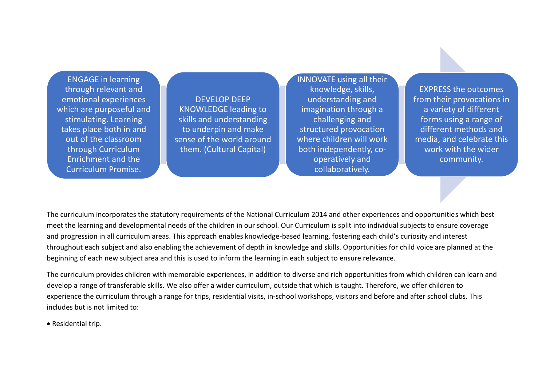ENGAGE in learning through relevant and emotional experiences which are purposeful and stimulating. Learning takes place both in and out of the classroom through Curriculum Enrichment and the Curriculum Promise.

DEVELOP DEEP KNOWLEDGE leading to skills and understanding to underpin and make sense of the world around them. (Cultural Capital)

INNOVATE using all their knowledge, skills, understanding and imagination through a challenging and structured provocation where children will work both independently, cooperatively and collaboratively.

EXPRESS the outcomes from their provocations in a variety of different forms using a range of different methods and media, and celebrate this work with the wider community.

The curriculum incorporates the statutory requirements of the National Curriculum 2014 and other experiences and opportunities which best meet the learning and developmental needs of the children in our school. Our Curriculum is split into individual subjects to ensure coverage and progression in all curriculum areas. This approach enables knowledge-based learning, fostering each child's curiosity and interest throughout each subject and also enabling the achievement of depth in knowledge and skills. Opportunities for child voice are planned at the beginning of each new subject area and this is used to inform the learning in each subject to ensure relevance.

The curriculum provides children with memorable experiences, in addition to diverse and rich opportunities from which children can learn and develop a range of transferable skills. We also offer a wider curriculum, outside that which is taught. Therefore, we offer children to experience the curriculum through a range for trips, residential visits, in-school workshops, visitors and before and after school clubs. This includes but is not limited to:

Residential trip.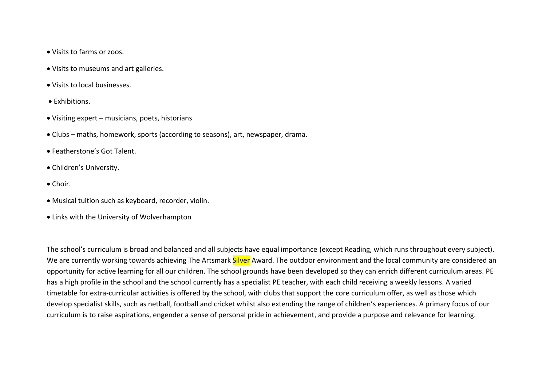- Visits to farms or zoos.
- Visits to museums and art galleries.
- Visits to local businesses.
- **•** Exhibitions.
- Visiting expert musicians, poets, historians
- Clubs maths, homework, sports (according to seasons), art, newspaper, drama.
- Featherstone's Got Talent.
- Children's University.
- Choir.
- Musical tuition such as keyboard, recorder, violin.
- Links with the University of Wolverhampton

The school's curriculum is broad and balanced and all subjects have equal importance (except Reading, which runs throughout every subject). We are currently working towards achieving The Artsmark Silver Award. The outdoor environment and the local community are considered an opportunity for active learning for all our children. The school grounds have been developed so they can enrich different curriculum areas. PE has a high profile in the school and the school currently has a specialist PE teacher, with each child receiving a weekly lessons. A varied timetable for extra-curricular activities is offered by the school, with clubs that support the core curriculum offer, as well as those which develop specialist skills, such as netball, football and cricket whilst also extending the range of children's experiences. A primary focus of our curriculum is to raise aspirations, engender a sense of personal pride in achievement, and provide a purpose and relevance for learning.